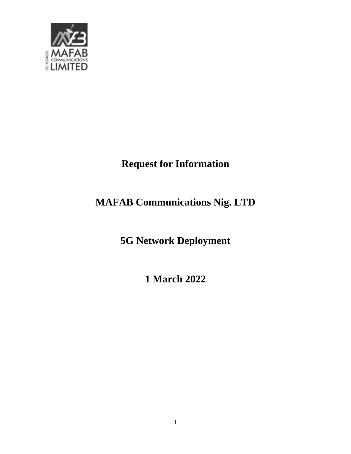

# **Request for Information**

# **MAFAB Communications Nig. LTD**

**5G Network Deployment**

**1 March 2022**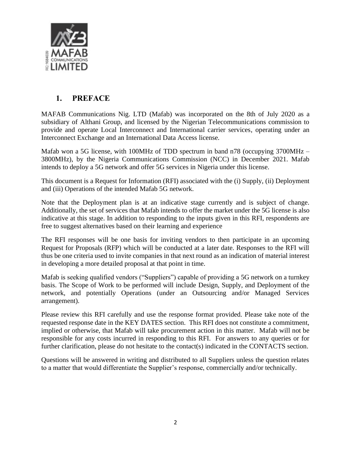

# **1. PREFACE**

<span id="page-1-0"></span>MAFAB Communications Nig. LTD (Mafab) was incorporated on the 8th of July 2020 as a subsidiary of Althani Group, and licensed by the Nigerian Telecommunications commission to provide and operate Local Interconnect and International carrier services, operating under an Interconnect Exchange and an International Data Access license.

Mafab won a 5G license, with 100MHz of TDD spectrum in band n78 (occupying 3700MHz – 3800MHz), by the Nigeria Communications Commission (NCC) in December 2021. Mafab intends to deploy a 5G network and offer 5G services in Nigeria under this license.

This document is a Request for Information (RFI) associated with the (i) Supply, (ii) Deployment and (iii) Operations of the intended Mafab 5G network.

Note that the Deployment plan is at an indicative stage currently and is subject of change. Additionally, the set of services that Mafab intends to offer the market under the 5G license is also indicative at this stage. In addition to responding to the inputs given in this RFI, respondents are free to suggest alternatives based on their learning and experience

The RFI responses will be one basis for inviting vendors to then participate in an upcoming Request for Proposals (RFP) which will be conducted at a later date. Responses to the RFI will thus be one criteria used to invite companies in that next round as an indication of material interest in developing a more detailed proposal at that point in time.

Mafab is seeking qualified vendors ("Suppliers") capable of providing a 5G network on a turnkey basis. The Scope of Work to be performed will include Design, Supply, and Deployment of the network, and potentially Operations (under an Outsourcing and/or Managed Services arrangement).

Please review this RFI carefully and use the response format provided. Please take note of the requested response date in the KEY DATES section. This RFI does not constitute a commitment, implied or otherwise, that Mafab will take procurement action in this matter. Mafab will not be responsible for any costs incurred in responding to this RFI. For answers to any queries or for further clarification, please do not hesitate to the contact(s) indicated in the CONTACTS section.

Questions will be answered in writing and distributed to all Suppliers unless the question relates to a matter that would differentiate the Supplier's response, commercially and/or technically.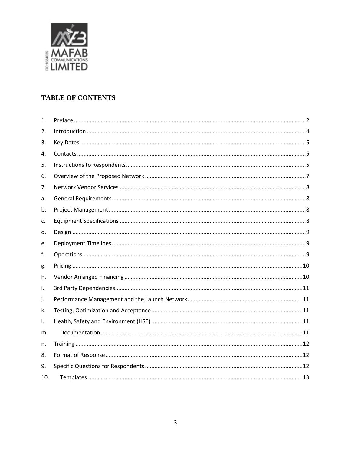

#### **TABLE OF CONTENTS**

| 1.  |  |
|-----|--|
| 2.  |  |
| 3.  |  |
| 4.  |  |
| 5.  |  |
| 6.  |  |
| 7.  |  |
| a.  |  |
| b.  |  |
| c.  |  |
| d.  |  |
| e.  |  |
| f.  |  |
| g.  |  |
| h.  |  |
| i.  |  |
| j.  |  |
| k.  |  |
| Ι.  |  |
| m.  |  |
| n.  |  |
| 8.  |  |
| 9.  |  |
| 10. |  |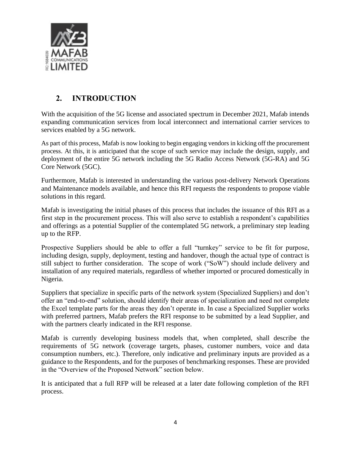

# **2. INTRODUCTION**

<span id="page-3-0"></span>With the acquisition of the 5G license and associated spectrum in December 2021, Mafab intends expanding communication services from local interconnect and international carrier services to services enabled by a 5G network.

As part of this process, Mafab is now looking to begin engaging vendors in kicking off the procurement process. At this, it is anticipated that the scope of such service may include the design, supply, and deployment of the entire 5G network including the 5G Radio Access Network (5G-RA) and 5G Core Network (5GC).

Furthermore, Mafab is interested in understanding the various post-delivery Network Operations and Maintenance models available, and hence this RFI requests the respondents to propose viable solutions in this regard.

Mafab is investigating the initial phases of this process that includes the issuance of this RFI as a first step in the procurement process. This will also serve to establish a respondent's capabilities and offerings as a potential Supplier of the contemplated 5G network, a preliminary step leading up to the RFP.

Prospective Suppliers should be able to offer a full "turnkey" service to be fit for purpose, including design, supply, deployment, testing and handover, though the actual type of contract is still subject to further consideration. The scope of work ("SoW") should include delivery and installation of any required materials, regardless of whether imported or procured domestically in Nigeria.

Suppliers that specialize in specific parts of the network system (Specialized Suppliers) and don't offer an "end-to-end" solution, should identify their areas of specialization and need not complete the Excel template parts for the areas they don't operate in. In case a Specialized Supplier works with preferred partners, Mafab prefers the RFI response to be submitted by a lead Supplier, and with the partners clearly indicated in the RFI response.

Mafab is currently developing business models that, when completed, shall describe the requirements of 5G network (coverage targets, phases, customer numbers, voice and data consumption numbers, etc.). Therefore, only indicative and preliminary inputs are provided as a guidance to the Respondents, and for the purposes of benchmarking responses. These are provided in the "Overview of the Proposed Network" section below.

It is anticipated that a full RFP will be released at a later date following completion of the RFI process.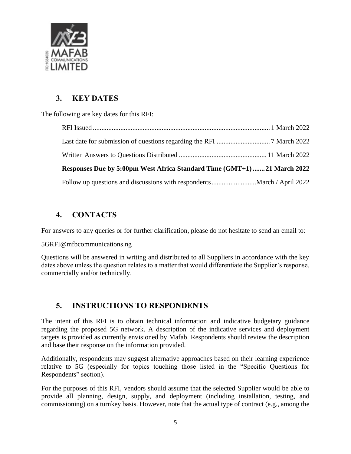

# **3. KEY DATES**

<span id="page-4-0"></span>The following are key dates for this RFI:

| Responses Due by 5:00pm West Africa Standard Time (GMT+1) 21 March 2022 |  |
|-------------------------------------------------------------------------|--|
|                                                                         |  |

# <span id="page-4-1"></span>**4. CONTACTS**

For answers to any queries or for further clarification, please do not hesitate to send an email to:

[5GRFI@mfbcommunications.ng](mailto:5GRFI@mfbcommunications.ng)

Questions will be answered in writing and distributed to all Suppliers in accordance with the key dates above unless the question relates to a matter that would differentiate the Supplier's response, commercially and/or technically.

# <span id="page-4-2"></span>**5. INSTRUCTIONS TO RESPONDENTS**

The intent of this RFI is to obtain technical information and indicative budgetary guidance regarding the proposed 5G network. A description of the indicative services and deployment targets is provided as currently envisioned by Mafab. Respondents should review the description and base their response on the information provided.

Additionally, respondents may suggest alternative approaches based on their learning experience relative to 5G (especially for topics touching those listed in the "Specific Questions for Respondents" section).

For the purposes of this RFI, vendors should assume that the selected Supplier would be able to provide all planning, design, supply, and deployment (including installation, testing, and commissioning) on a turnkey basis. However, note that the actual type of contract (e.g., among the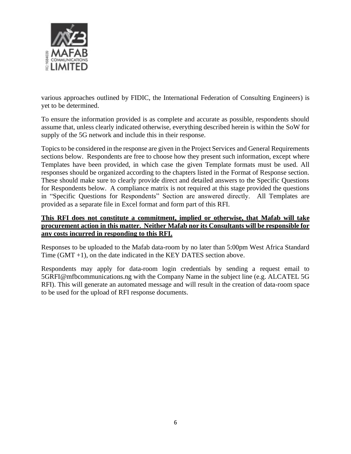

various approaches outlined by FIDIC, the International Federation of Consulting Engineers) is yet to be determined.

To ensure the information provided is as complete and accurate as possible, respondents should assume that, unless clearly indicated otherwise, everything described herein is within the SoW for supply of the 5G network and include this in their response.

Topics to be considered in the response are given in the Project Services and General Requirements sections below. Respondents are free to choose how they present such information, except where Templates have been provided, in which case the given Template formats must be used. All responses should be organized according to the chapters listed in the Format of Response section. These should make sure to clearly provide direct and detailed answers to the Specific Questions for Respondents below. A compliance matrix is not required at this stage provided the questions in "Specific Questions for Respondents" Section are answered directly. All Templates are provided as a separate file in Excel format and form part of this RFI.

#### **This RFI does not constitute a commitment, implied or otherwise, that Mafab will take procurement action in this matter. Neither Mafab nor its Consultants will be responsible for any costs incurred in responding to this RFI.**

Responses to be uploaded to the Mafab data-room by no later than 5:00pm West Africa Standard Time  $(GMT +1)$ , on the date indicated in the KEY DATES section above.

Respondents may apply for data-room login credentials by sending a request email to [5GRFI@mfbcommunications.ng](mailto:5GRFI@mfbcommunications.ng) with the Company Name in the subject line (e.g. ALCATEL 5G RFI). This will generate an automated message and will result in the creation of data-room space to be used for the upload of RFI response documents.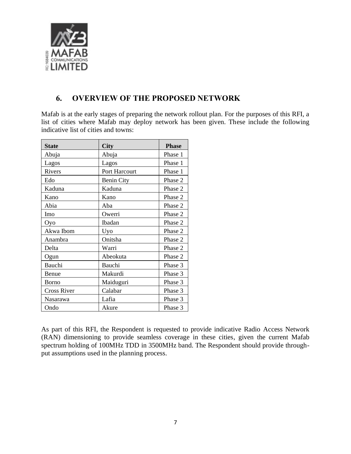

### <span id="page-6-0"></span>**6. OVERVIEW OF THE PROPOSED NETWORK**

Mafab is at the early stages of preparing the network rollout plan. For the purposes of this RFI, a list of cities where Mafab may deploy network has been given. These include the following indicative list of cities and towns:

| <b>State</b>       | City                 | <b>Phase</b> |
|--------------------|----------------------|--------------|
| Abuja              | Abuja                | Phase 1      |
| Lagos              | Lagos                | Phase 1      |
| <b>Rivers</b>      | <b>Port Harcourt</b> | Phase 1      |
| Edo                | <b>Benin City</b>    | Phase 2      |
| Kaduna             | Kaduna               | Phase 2      |
| Kano               | Kano                 | Phase 2      |
| Abia               | Aba                  | Phase 2      |
| Imo                | Owerri               | Phase 2      |
| Oyo                | Ibadan               | Phase 2      |
| Akwa Ibom          | Uyo                  | Phase 2      |
| Anambra            | Onitsha              | Phase 2      |
| Delta              | Warri                | Phase 2      |
| Ogun               | Abeokuta             | Phase 2      |
| Bauchi             | Bauchi               | Phase 3      |
| Benue              | Makurdi              | Phase 3      |
| Borno              | Maiduguri            | Phase 3      |
| <b>Cross River</b> | Calabar              | Phase 3      |
| Nasarawa           | Lafia                | Phase 3      |
| Ondo               | Akure                | Phase 3      |

As part of this RFI, the Respondent is requested to provide indicative Radio Access Network (RAN) dimensioning to provide seamless coverage in these cities, given the current Mafab spectrum holding of 100MHz TDD in 3500MHz band. The Respondent should provide throughput assumptions used in the planning process.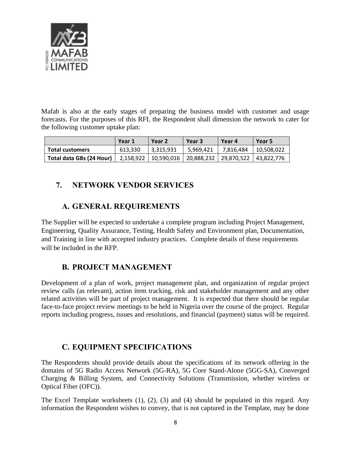

Mafab is also at the early stages of preparing the business model with customer and usage forecasts. For the purposes of this RFI, the Respondent shall dimension the network to cater for the following customer uptake plan:

|                          | Year 1  | Year 2                                                        | Year 3    | Year 4    | Year 5     |
|--------------------------|---------|---------------------------------------------------------------|-----------|-----------|------------|
| <b>Total customers</b>   | 613.330 | 3.315.931                                                     | 5.969.421 | 7.816.484 | 10.508.022 |
| Total data GBs (24 Hour) |         | 2,158,922   10,590,016   20,888,232   29,870,522   43,822,776 |           |           |            |

# <span id="page-7-0"></span>**7. NETWORK VENDOR SERVICES**

### **A. GENERAL REQUIREMENTS**

<span id="page-7-1"></span>The Supplier will be expected to undertake a complete program including Project Management, Engineering, Quality Assurance, Testing, Health Safety and Environment plan, Documentation, and Training in line with accepted industry practices. Complete details of these requirements will be included in the RFP.

# **B. PROJECT MANAGEMENT**

<span id="page-7-2"></span>Development of a plan of work, project management plan, and organization of regular project review calls (as relevant), action item tracking, risk and stakeholder management and any other related activities will be part of project management. It is expected that there should be regular face-to-face project review meetings to be held in Nigeria over the course of the project. Regular reports including progress, issues and resolutions, and financial (payment) status will be required.

### **C. EQUIPMENT SPECIFICATIONS**

<span id="page-7-3"></span>The Respondents should provide details about the specifications of its network offering in the domains of 5G Radio Access Network (5G-RA), 5G Core Stand-Alone (5GG-SA), Converged Charging & Billing System, and Connectivity Solutions (Transmission, whether wireless or Optical Fiber (OFC)).

The Excel Template worksheets (1), (2), (3) and (4) should be populated in this regard. Any information the Respondent wishes to convey, that is not captured in the Template, may be done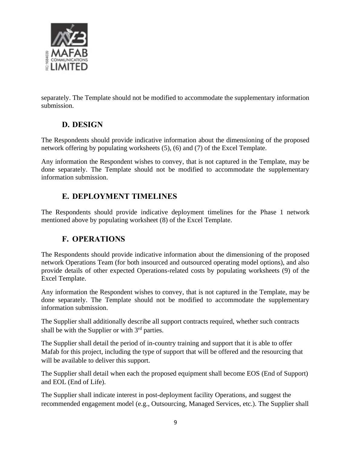

<span id="page-8-0"></span>separately. The Template should not be modified to accommodate the supplementary information submission.

### **D. DESIGN**

The Respondents should provide indicative information about the dimensioning of the proposed network offering by populating worksheets (5), (6) and (7) of the Excel Template.

Any information the Respondent wishes to convey, that is not captured in the Template, may be done separately. The Template should not be modified to accommodate the supplementary information submission.

### **E. DEPLOYMENT TIMELINES**

<span id="page-8-2"></span><span id="page-8-1"></span>The Respondents should provide indicative deployment timelines for the Phase 1 network mentioned above by populating worksheet (8) of the Excel Template.

# **F. OPERATIONS**

The Respondents should provide indicative information about the dimensioning of the proposed network Operations Team (for both insourced and outsourced operating model options), and also provide details of other expected Operations-related costs by populating worksheets (9) of the Excel Template.

Any information the Respondent wishes to convey, that is not captured in the Template, may be done separately. The Template should not be modified to accommodate the supplementary information submission.

The Supplier shall additionally describe all support contracts required, whether such contracts shall be with the Supplier or with 3<sup>rd</sup> parties.

The Supplier shall detail the period of in-country training and support that it is able to offer Mafab for this project, including the type of support that will be offered and the resourcing that will be available to deliver this support.

The Supplier shall detail when each the proposed equipment shall become EOS (End of Support) and EOL (End of Life).

The Supplier shall indicate interest in post-deployment facility Operations, and suggest the recommended engagement model (e.g., Outsourcing, Managed Services, etc.). The Supplier shall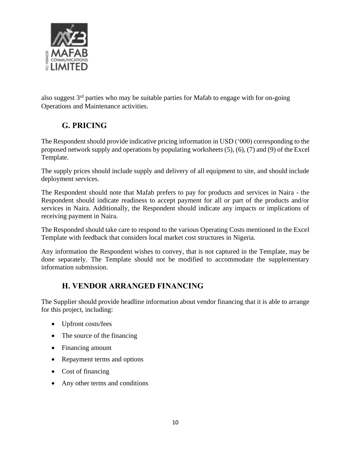

<span id="page-9-0"></span>also suggest 3rd parties who may be suitable parties for Mafab to engage with for on-going Operations and Maintenance activities.

# **G. PRICING**

The Respondent should provide indicative pricing information in USD ('000) corresponding to the proposed network supply and operations by populating worksheets (5), (6), (7) and (9) of the Excel Template.

The supply prices should include supply and delivery of all equipment to site, and should include deployment services.

The Respondent should note that Mafab prefers to pay for products and services in Naira - the Respondent should indicate readiness to accept payment for all or part of the products and/or services in Naira. Additionally, the Respondent should indicate any impacts or implications of receiving payment in Naira.

The Responded should take care to respond to the various Operating Costs mentioned in the Excel Template with feedback that considers local market cost structures in Nigeria.

Any information the Respondent wishes to convey, that is not captured in the Template, may be done separately. The Template should not be modified to accommodate the supplementary information submission.

# **H. VENDOR ARRANGED FINANCING**

<span id="page-9-1"></span>The Supplier should provide headline information about vendor financing that it is able to arrange for this project, including:

- Upfront costs/fees
- The source of the financing
- Financing amount
- Repayment terms and options
- Cost of financing
- Any other terms and conditions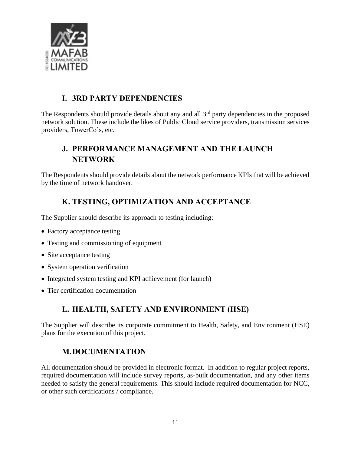

# **I. 3RD PARTY DEPENDENCIES**

<span id="page-10-0"></span>The Respondents should provide details about any and all  $3<sup>rd</sup>$  party dependencies in the proposed network solution. These include the likes of Public Cloud service providers, transmission services providers, TowerCo's, etc.

# <span id="page-10-1"></span>**J. PERFORMANCE MANAGEMENT AND THE LAUNCH NETWORK**

The Respondents should provide details about the network performance KPIs that will be achieved by the time of network handover.

# **K. TESTING, OPTIMIZATION AND ACCEPTANCE**

<span id="page-10-2"></span>The Supplier should describe its approach to testing including:

- Factory acceptance testing
- Testing and commissioning of equipment
- Site acceptance testing
- System operation verification
- Integrated system testing and KPI achievement (for launch)
- <span id="page-10-3"></span>• Tier certification documentation

# **L. HEALTH, SAFETY AND ENVIRONMENT (HSE)**

The Supplier will describe its corporate commitment to Health, Safety, and Environment (HSE) plans for the execution of this project.

#### **M.DOCUMENTATION**

<span id="page-10-4"></span>All documentation should be provided in electronic format. In addition to regular project reports, required documentation will include survey reports, as-built documentation, and any other items needed to satisfy the general requirements. This should include required documentation for NCC, or other such certifications / compliance.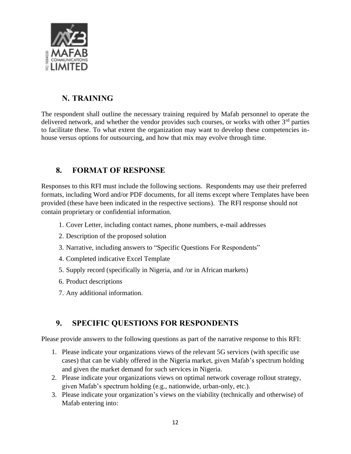

# **N. TRAINING**

<span id="page-11-0"></span>The respondent shall outline the necessary training required by Mafab personnel to operate the delivered network, and whether the vendor provides such courses, or works with other  $3<sup>rd</sup>$  parties to facilitate these. To what extent the organization may want to develop these competencies inhouse versus options for outsourcing, and how that mix may evolve through time.

### <span id="page-11-1"></span>**8. FORMAT OF RESPONSE**

Responses to this RFI must include the following sections. Respondents may use their preferred formats, including Word and/or PDF documents, for all items except where Templates have been provided (these have been indicated in the respective sections). The RFI response should not contain proprietary or confidential information.

- 1. Cover Letter, including contact names, phone numbers, e-mail addresses
- 2. Description of the proposed solution
- 3. Narrative, including answers to "Specific Questions For Respondents"
- 4. Completed indicative Excel Template
- 5. Supply record (specifically in Nigeria, and /or in African markets)
- 6. Product descriptions
- 7. Any additional information.

### <span id="page-11-2"></span>**9. SPECIFIC QUESTIONS FOR RESPONDENTS**

Please provide answers to the following questions as part of the narrative response to this RFI:

- 1. Please indicate your organizations views of the relevant 5G services (with specific use cases) that can be viably offered in the Nigeria market, given Mafab's spectrum holding and given the market demand for such services in Nigeria.
- 2. Please indicate your organizations views on optimal network coverage rollout strategy, given Mafab's spectrum holding (e.g., nationwide, urban-only, etc.).
- 3. Please indicate your organization's views on the viability (technically and otherwise) of Mafab entering into: